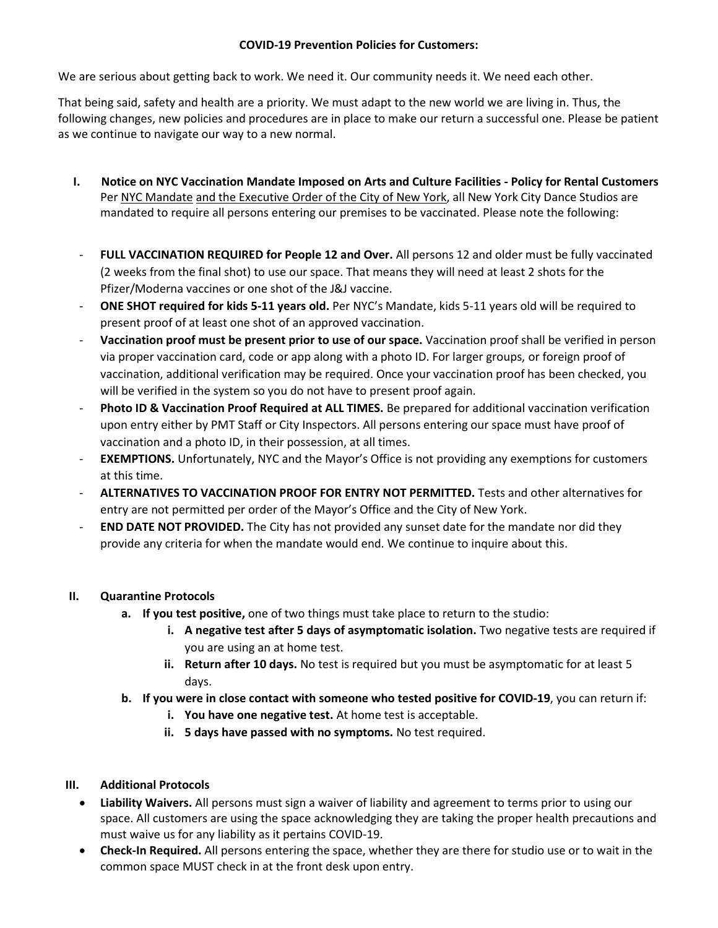## **COVID-19 Prevention Policies for Customers:**

We are serious about getting back to work. We need it. Our community needs it. We need each other.

That being said, safety and health are a priority. We must adapt to the new world we are living in. Thus, the following changes, new policies and procedures are in place to make our return a successful one. Please be patient as we continue to navigate our way to a new normal.

- **I. Notice on NYC Vaccination Mandate Imposed on Arts and Culture Facilities - Policy for Rental Customers** Per NYC Mandate and the Executive Order of the City of New York, all New York City Dance Studios are mandated to require all persons entering our premises to be vaccinated. Please note the following:
- **FULL VACCINATION REQUIRED for People 12 and Over.** All persons 12 and older must be fully vaccinated (2 weeks from the final shot) to use our space. That means they will need at least 2 shots for the Pfizer/Moderna vaccines or one shot of the J&J vaccine.
- **ONE SHOT required for kids 5-11 years old.** Per NYC's Mandate, kids 5-11 years old will be required to present proof of at least one shot of an approved vaccination.
- **Vaccination proof must be present prior to use of our space.** Vaccination proof shall be verified in person via proper vaccination card, code or app along with a photo ID. For larger groups, or foreign proof of vaccination, additional verification may be required. Once your vaccination proof has been checked, you will be verified in the system so you do not have to present proof again.
- **Photo ID & Vaccination Proof Required at ALL TIMES.** Be prepared for additional vaccination verification upon entry either by PMT Staff or City Inspectors. All persons entering our space must have proof of vaccination and a photo ID, in their possession, at all times.
- **EXEMPTIONS.** Unfortunately, NYC and the Mayor's Office is not providing any exemptions for customers at this time.
- **ALTERNATIVES TO VACCINATION PROOF FOR ENTRY NOT PERMITTED.** Tests and other alternatives for entry are not permitted per order of the Mayor's Office and the City of New York.
- **END DATE NOT PROVIDED.** The City has not provided any sunset date for the mandate nor did they provide any criteria for when the mandate would end. We continue to inquire about this.

## **II. Quarantine Protocols**

- **a. If you test positive,** one of two things must take place to return to the studio:
	- **i. A negative test after 5 days of asymptomatic isolation.** Two negative tests are required if you are using an at home test.
	- **ii. Return after 10 days.** No test is required but you must be asymptomatic for at least 5 days.
- **b. If you were in close contact with someone who tested positive for COVID-19**, you can return if:
	- **i. You have one negative test.** At home test is acceptable.
	- **ii. 5 days have passed with no symptoms.** No test required.

## **III. Additional Protocols**

- **Liability Waivers.** All persons must sign a waiver of liability and agreement to terms prior to using our space. All customers are using the space acknowledging they are taking the proper health precautions and must waive us for any liability as it pertains COVID-19.
- **Check-In Required.** All persons entering the space, whether they are there for studio use or to wait in the common space MUST check in at the front desk upon entry.